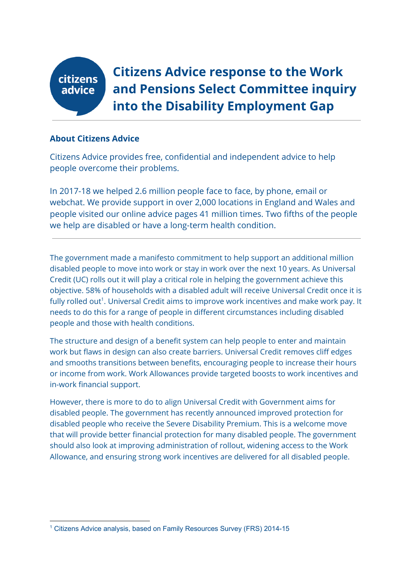

**Citizens Advice response to the Work and Pensions Select Committee inquiry into the Disability Employment Gap**

### **About Citizens Advice**

Citizens Advice provides free, confidential and independent advice to help people overcome their problems.

In 2017-18 we helped 2.6 million people face to face, by phone, email or webchat. We provide support in over 2,000 locations in England and Wales and people visited our online advice pages 41 million times. Two fifths of the people we help are disabled or have a long-term health condition.

The government made a manifesto commitment to help support an additional million disabled people to move into work or stay in work over the next 10 years. As Universal Credit (UC) rolls out it will play a critical role in helping the government achieve this objective. 58% of households with a disabled adult will receive Universal Credit once it is fully rolled out $^{\rm 1}.$  Universal Credit aims to improve work incentives and make work pay. It needs to do this for a range of people in different circumstances including disabled people and those with health conditions.

The structure and design of a benefit system can help people to enter and maintain work but flaws in design can also create barriers. Universal Credit removes cliff edges and smooths transitions between benefits, encouraging people to increase their hours or income from work. Work Allowances provide targeted boosts to work incentives and in-work financial support.

However, there is more to do to align Universal Credit with Government aims for disabled people. The government has recently announced improved protection for disabled people who receive the Severe Disability Premium. This is a welcome move that will provide better financial protection for many disabled people. The government should also look at improving administration of rollout, widening access to the Work Allowance, and ensuring strong work incentives are delivered for all disabled people.

<sup>&</sup>lt;sup>1</sup> Citizens Advice analysis, based on Family Resources Survey (FRS) 2014-15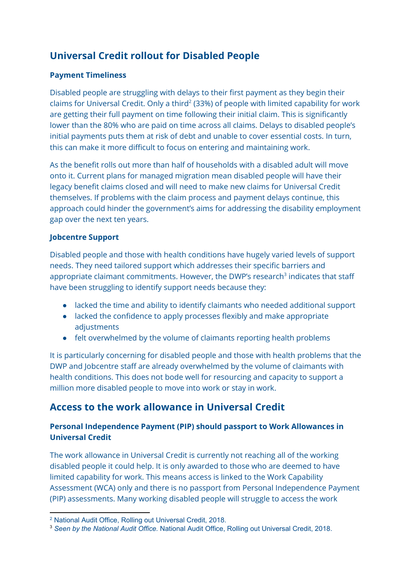# **Universal Credit rollout for Disabled People**

### **Payment Timeliness**

Disabled people are struggling with delays to their first payment as they begin their claims for Universal Credit. Only a third<sup>2</sup> (33%) of people with limited capability for work are getting their full payment on time following their initial claim. This is significantly lower than the 80% who are paid on time across all claims. Delays to disabled people's initial payments puts them at risk of debt and unable to cover essential costs. In turn, this can make it more difficult to focus on entering and maintaining work.

As the benefit rolls out more than half of households with a disabled adult will move onto it. Current plans for managed migration mean disabled people will have their legacy benefit claims closed and will need to make new claims for Universal Credit themselves. If problems with the claim process and payment delays continue, this approach could hinder the government's aims for addressing the disability employment gap over the next ten years.

### **Jobcentre Support**

Disabled people and those with health conditions have hugely varied levels of support needs. They need tailored support which addresses their specific barriers and appropriate claimant commitments. However, the DWP's research<sup>3</sup> indicates that staff have been struggling to identify support needs because they:

- lacked the time and ability to identify claimants who needed additional support
- lacked the confidence to apply processes flexibly and make appropriate adjustments
- felt overwhelmed by the volume of claimants reporting health problems

It is particularly concerning for disabled people and those with health problems that the DWP and Jobcentre staff are already overwhelmed by the volume of claimants with health conditions. This does not bode well for resourcing and capacity to support a million more disabled people to move into work or stay in work.

### **Access to the work allowance in Universal Credit**

### **Personal Independence Payment (PIP) should passport to Work Allowances in Universal Credit**

The work allowance in Universal Credit is currently not reaching all of the working disabled people it could help. It is only awarded to those who are deemed to have limited capability for work. This means access is linked to the Work Capability Assessment (WCA) only and there is no passport from Personal Independence Payment (PIP) assessments. Many working disabled people will struggle to access the work

<sup>2</sup> National Audit Office, Rolling out Universal Credit, 2018.

<sup>3</sup> *Seen by the National Audit Office.* National Audit Office, Rolling out Universal Credit, 2018.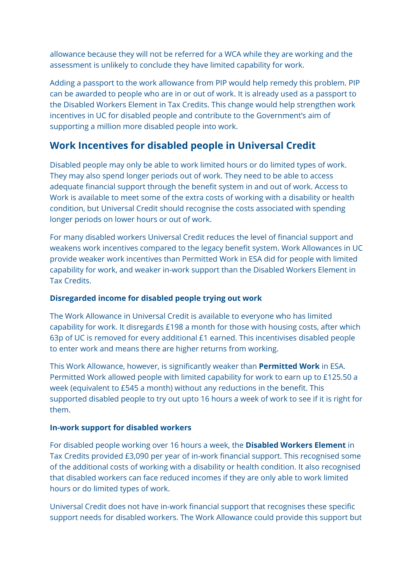allowance because they will not be referred for a WCA while they are working and the assessment is unlikely to conclude they have limited capability for work.

Adding a passport to the work allowance from PIP would help remedy this problem. PIP can be awarded to people who are in or out of work. It is already used as a passport to the Disabled Workers Element in Tax Credits. This change would help strengthen work incentives in UC for disabled people and contribute to the Government's aim of supporting a million more disabled people into work.

## **Work Incentives for disabled people in Universal Credit**

Disabled people may only be able to work limited hours or do limited types of work. They may also spend longer periods out of work. They need to be able to access adequate financial support through the benefit system in and out of work. Access to Work is available to meet some of the extra costs of working with a disability or health condition, but Universal Credit should recognise the costs associated with spending longer periods on lower hours or out of work.

For many disabled workers Universal Credit reduces the level of financial support and weakens work incentives compared to the legacy benefit system. Work Allowances in UC provide weaker work incentives than Permitted Work in ESA did for people with limited capability for work, and weaker in-work support than the Disabled Workers Element in Tax Credits.

### **Disregarded income for disabled people trying out work**

The Work Allowance in Universal Credit is available to everyone who has limited capability for work. It disregards £198 a month for those with housing costs, after which 63p of UC is removed for every additional £1 earned. This incentivises disabled people to enter work and means there are higher returns from working.

This Work Allowance, however, is significantly weaker than **Permitted Work** in ESA. Permitted Work allowed people with limited capability for work to earn up to £125.50 a week (equivalent to £545 a month) without any reductions in the benefit. This supported disabled people to try out upto 16 hours a week of work to see if it is right for them.

### **In-work support for disabled workers**

For disabled people working over 16 hours a week, the **Disabled Workers Element** in Tax Credits provided £3,090 per year of in-work financial support. This recognised some of the additional costs of working with a disability or health condition. It also recognised that disabled workers can face reduced incomes if they are only able to work limited hours or do limited types of work.

Universal Credit does not have in-work financial support that recognises these specific support needs for disabled workers. The Work Allowance could provide this support but